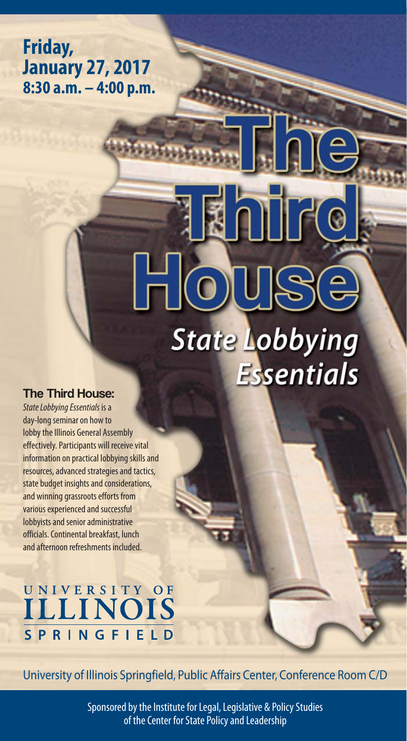**Friday, January 27, 2017 8:30 a.m. – 4:00 p.m.**

# HOUSE **State Lobbying Essentials**

**ENTR** 

#### The Third House:

*State Lobbying Essentials* is a day-long seminar on how to lobby the Illinois General Assembly effectively. Participants will receive vital information on practical lobbying skills and resources, advanced strategies and tactics, state budget insights and considerations, and winning grassroots efforts from various experienced and successful lobbyists and senior administrative officials. Continental breakfast, lunch and afternoon refreshments included.

## UNIVERSITY OF **SPRINGFIELD**

University of Illinois Springfield, Public Affairs Center, Conference Room C/D

Sponsored by the Institute for Legal, Legislative & Policy Studies of the Center for State Policy and Leadership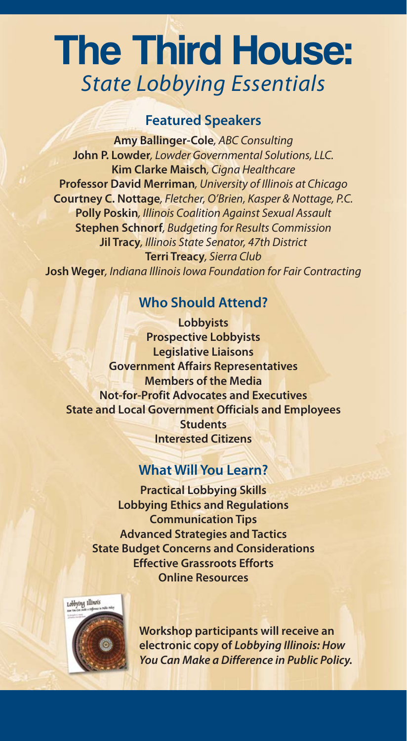## The Third House: *State Lobbying Essentials*

### **Featured Speakers**

**Amy Ballinger-Cole***, ABC Consulting* **John P. Lowder***, Lowder Governmental Solutions, LLC.* **Kim Clarke Maisch***, Cigna Healthcare* **Professor David Merriman***, University of Illinois at Chicago* **Courtney C. Nottage***, Fletcher, O'Brien, Kasper & Nottage, P.C.* **Polly Poskin***, Illinois Coalition Against Sexual Assault* **Stephen Schnorf***, Budgeting for Results Commission* **Jil Tracy***, Illinois State Senator, 47th District* **Terri Treacy***, Sierra Club* **Josh Weger***, Indiana Illinois Iowa Foundation for Fair Contracting*

### **Who Should Attend?**

**Lobbyists Prospective Lobbyists Legislative Liaisons Government Affairs Representatives Members of the Media Not-for-Profit Advocates and Executives State and Local Government Officials and Employees Students Interested Citizens**

## **What Will You Learn?**

**Practical Lobbying Skills Lobbying Ethics and Regulations Communication Tips Advanced Strategies and Tactics State Budget Concerns and Considerations Effective Grassroots Efforts Online Resources**



**Workshop participants will receive an electronic copy of** *Lobbying Illinois: How You Can Make a Difference in Public Policy.*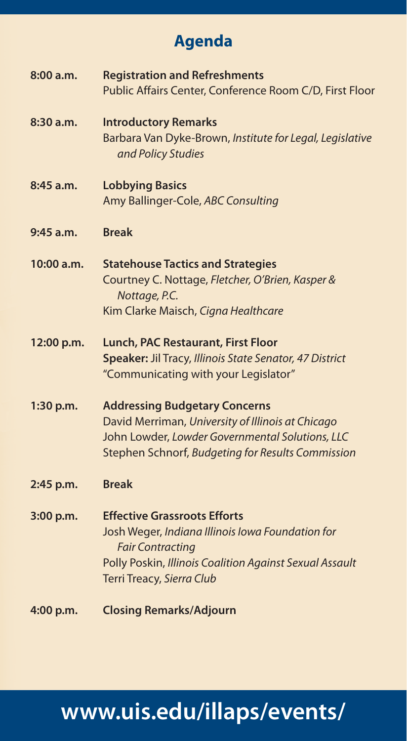## **Agenda**

| 8:00 a.m.  | <b>Registration and Refreshments</b><br>Public Affairs Center, Conference Room C/D, First Floor                                                                                                            |
|------------|------------------------------------------------------------------------------------------------------------------------------------------------------------------------------------------------------------|
| 8:30 a.m.  | <b>Introductory Remarks</b><br>Barbara Van Dyke-Brown, Institute for Legal, Legislative<br>and Policy Studies                                                                                              |
| 8:45 a.m.  | <b>Lobbying Basics</b><br>Amy Ballinger-Cole, ABC Consulting                                                                                                                                               |
| 9:45 a.m.  | <b>Break</b>                                                                                                                                                                                               |
| 10:00 a.m. | <b>Statehouse Tactics and Strategies</b><br>Courtney C. Nottage, Fletcher, O'Brien, Kasper &<br>Nottage, P.C.<br>Kim Clarke Maisch, Cigna Healthcare                                                       |
| 12:00 p.m. | Lunch, PAC Restaurant, First Floor<br>Speaker: Jil Tracy, Illinois State Senator, 47 District<br>"Communicating with your Legislator"                                                                      |
| 1:30 p.m.  | <b>Addressing Budgetary Concerns</b><br>David Merriman, University of Illinois at Chicago<br>John Lowder, Lowder Governmental Solutions, LLC<br>Stephen Schnorf, Budgeting for Results Commission          |
| 2:45 p.m.  | <b>Break</b>                                                                                                                                                                                               |
| 3:00 p.m.  | <b>Effective Grassroots Efforts</b><br>Josh Weger, Indiana Illinois Iowa Foundation for<br><b>Fair Contracting</b><br>Polly Poskin, Illinois Coalition Against Sexual Assault<br>Terri Treacy, Sierra Club |
| 4:00 p.m.  | <b>Closing Remarks/Adjourn</b>                                                                                                                                                                             |

## **www.uis.edu/illaps/events/**